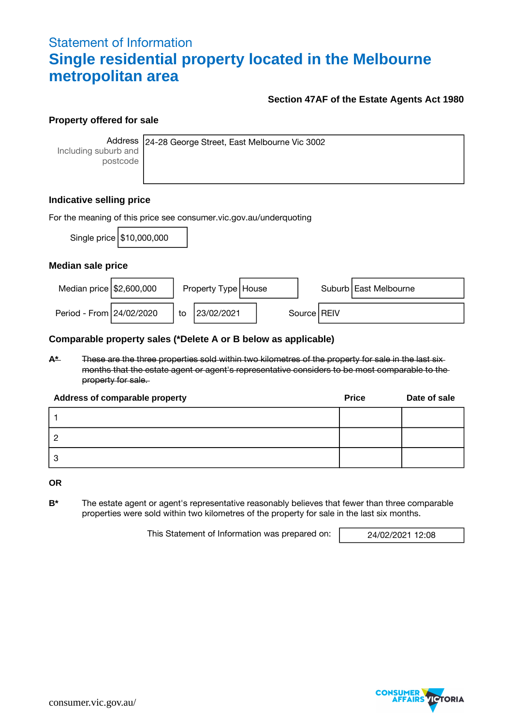# Statement of Information **Single residential property located in the Melbourne metropolitan area**

**Section 47AF of the Estate Agents Act 1980**

## **Property offered for sale**

**Address** Including suburb and postcode

24-28 George Street, East Melbourne Vic 3002

# **Indicative selling price**

| For the meaning of this price see consumer.vic.gov.au/underquoting |  |  |  |
|--------------------------------------------------------------------|--|--|--|
|--------------------------------------------------------------------|--|--|--|

Single price \$10,000,000

#### **Median sale price**



### **Comparable property sales (\*Delete A or B below as applicable)**

**A\*** These are the three properties sold within two kilometres of the property for sale in the last six months that the estate agent or agent's representative considers to be most comparable to the property for sale.

| Address of comparable property | <b>Price</b> | Date of sale |
|--------------------------------|--------------|--------------|
|                                |              |              |
|                                |              |              |
| 3                              |              |              |

**OR**

**B\*** The estate agent or agent's representative reasonably believes that fewer than three comparable properties were sold within two kilometres of the property for sale in the last six months.

This Statement of Information was prepared on: 24/02/2021 12:08